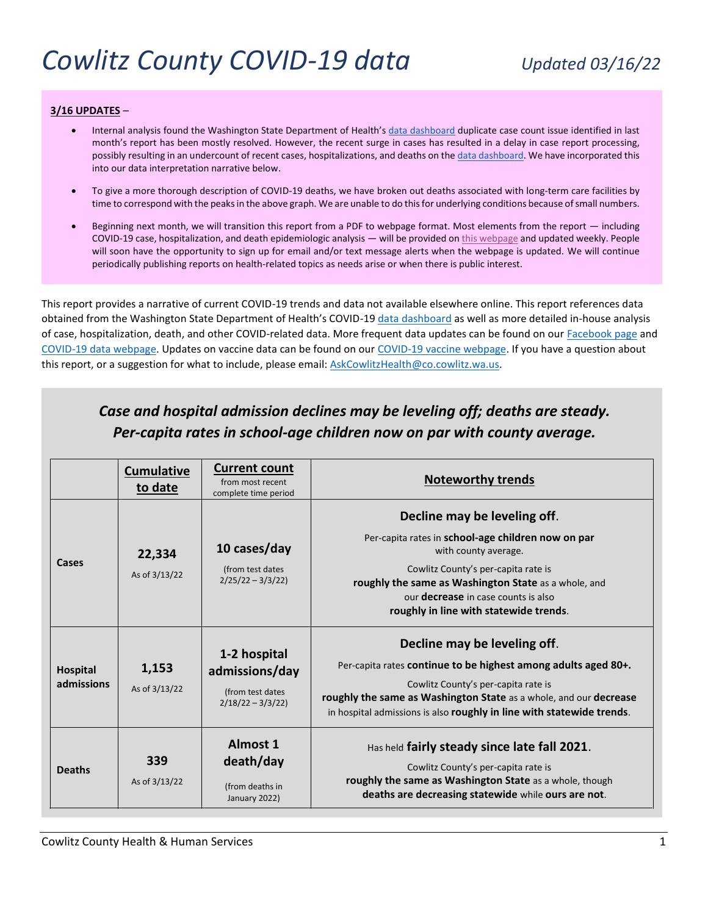#### **3/16 UPDATES** –

- Internal analysis found the Washington State Department of Health's [data dashboard](https://www.doh.wa.gov/Emergencies/COVID19/DataDashboard) duplicate case count issue identified in last month's report has been mostly resolved. However, the recent surge in cases has resulted in a delay in case report processing, possibly resulting in an undercount of recent cases, hospitalizations, and deaths on the [data dashboard.](https://www.doh.wa.gov/Emergencies/COVID19/DataDashboard) We have incorporated this into our data interpretation narrative below.
- To give a more thorough description of COVID-19 deaths, we have broken out deaths associated with long-term care facilities by time to correspond with the peaks in the above graph. We are unable to do this for underlying conditions because of small numbers.
- Beginning next month, we will transition this report from a PDF to webpage format. Most elements from the report including COVID-19 case, hospitalization, and death epidemiologic analysis — will be provided o[n this webpage](https://www.co.cowlitz.wa.us/2811/COVID-19-Data) and updated weekly. People will soon have the opportunity to sign up for email and/or text message alerts when the webpage is updated. We will continue periodically publishing reports on health-related topics as needs arise or when there is public interest.

This report provides a narrative of current COVID-19 trends and data not available elsewhere online. This report references data obtained from the Washington State Department of Health's COVID-19 [data dashboard](https://www.doh.wa.gov/Emergencies/COVID19/DataDashboard) as well as more detailed in-house analysis of case, hospitalization, death, and other COVID-related data. More frequent data updates can be found on our [Facebook page](https://www.facebook.com/cowlitzHHS) and [COVID-19 data webpage.](https://www.co.cowlitz.wa.us/2811/COVID-19-Data) Updates on vaccine data can be found on ou[r COVID-19 vaccine webpage.](https://www.co.cowlitz.wa.us/2806/COVID-19-Vaccine) If you have a question about this report, or a suggestion for what to include, please email[: AskCowlitzHealth@co.cowlitz.wa.us.](mailto:AskCowlitzHealth@co.cowlitz.wa.us)

|                               | <b>Cumulative</b><br>to date | <b>Current count</b><br>from most recent<br>complete time period         | <b>Noteworthy trends</b>                                                                                                                                                                                                                                                                          |
|-------------------------------|------------------------------|--------------------------------------------------------------------------|---------------------------------------------------------------------------------------------------------------------------------------------------------------------------------------------------------------------------------------------------------------------------------------------------|
| Cases                         | 22,334<br>As of 3/13/22      | 10 cases/day<br>(from test dates)<br>$2/25/22 - 3/3/22$                  | Decline may be leveling off.<br>Per-capita rates in school-age children now on par<br>with county average.<br>Cowlitz County's per-capita rate is<br>roughly the same as Washington State as a whole, and<br>our <b>decrease</b> in case counts is also<br>roughly in line with statewide trends. |
| <b>Hospital</b><br>admissions | 1,153<br>As of 3/13/22       | 1-2 hospital<br>admissions/day<br>(from test dates<br>$2/18/22 - 3/3/22$ | Decline may be leveling off.<br>Per-capita rates continue to be highest among adults aged 80+.<br>Cowlitz County's per-capita rate is<br>roughly the same as Washington State as a whole, and our decrease<br>in hospital admissions is also roughly in line with statewide trends.               |
| <b>Deaths</b>                 | 339<br>As of 3/13/22         | <b>Almost 1</b><br>death/day<br>(from deaths in<br>January 2022)         | Has held fairly steady since late fall 2021.<br>Cowlitz County's per-capita rate is<br>roughly the same as Washington State as a whole, though<br>deaths are decreasing statewide while ours are not.                                                                                             |

# *Case and hospital admission declines may be leveling off; deaths are steady. Per-capita rates in school-age children now on par with county average.*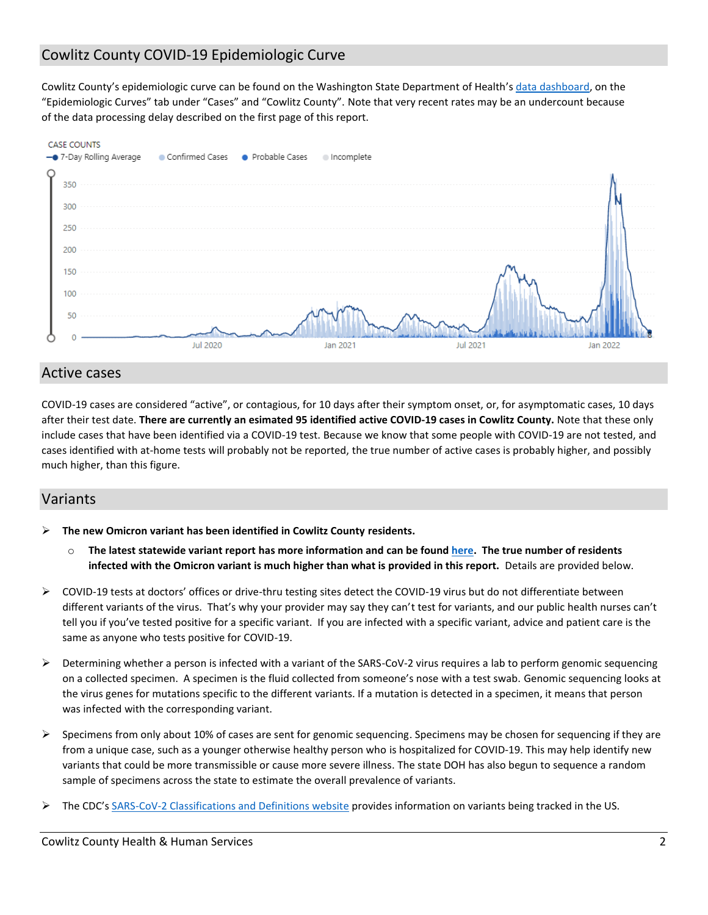## Cowlitz County COVID-19 Epidemiologic Curve

Cowlitz County's epidemiologic curve can be found on the Washington State Department of Health's [data dashboard,](https://www.doh.wa.gov/Emergencies/COVID19/DataDashboard) on the "Epidemiologic Curves" tab under "Cases" and "Cowlitz County". Note that very recent rates may be an undercount because of the data processing delay described on the first page of this report.



#### Active cases

COVID-19 cases are considered "active", or contagious, for 10 days after their symptom onset, or, for asymptomatic cases, 10 days after their test date. **There are currently an esimated 95 identified active COVID-19 cases in Cowlitz County.** Note that these only include cases that have been identified via a COVID-19 test. Because we know that some people with COVID-19 are not tested, and cases identified with at-home tests will probably not be reported, the true number of active cases is probably higher, and possibly much higher, than this figure.

### Variants

- **The new Omicron variant has been identified in Cowlitz County residents.**
	- o **The latest statewide variant report has more information and can be foun[d here.](https://www.doh.wa.gov/Portals/1/Documents/1600/coronavirus/data-tables/420-316-SequencingAndVariantsReport.pdf) The true number of residents infected with the Omicron variant is much higher than what is provided in this report.** Details are provided below.
- $\triangleright$  COVID-19 tests at doctors' offices or drive-thru testing sites detect the COVID-19 virus but do not differentiate between different variants of the virus. That's why your provider may say they can't test for variants, and our public health nurses can't tell you if you've tested positive for a specific variant. If you are infected with a specific variant, advice and patient care is the same as anyone who tests positive for COVID-19.
- $\triangleright$  Determining whether a person is infected with a variant of the SARS-CoV-2 virus requires a lab to perform genomic sequencing on a collected specimen. A specimen is the fluid collected from someone's nose with a test swab. Genomic sequencing looks at the virus genes for mutations specific to the different variants. If a mutation is detected in a specimen, it means that person was infected with the corresponding variant.
- $\triangleright$  Specimens from only about 10% of cases are sent for genomic sequencing. Specimens may be chosen for sequencing if they are from a unique case, such as a younger otherwise healthy person who is hospitalized for COVID-19. This may help identify new variants that could be more transmissible or cause more severe illness. The state DOH has also begun to sequence a random sample of specimens across the state to estimate the overall prevalence of variants.
- The CDC's [SARS-CoV-2 Classifications and Definitions website](https://www.cdc.gov/coronavirus/2019-ncov/variants/variant-info.html?CDC_AA_refVal=https%3A%2F%2Fwww.cdc.gov%2Fcoronavirus%2F2019-ncov%2Fcases-updates%2Fvariant-surveillance%2Fvariant-info.html) provides information on variants being tracked in the US.